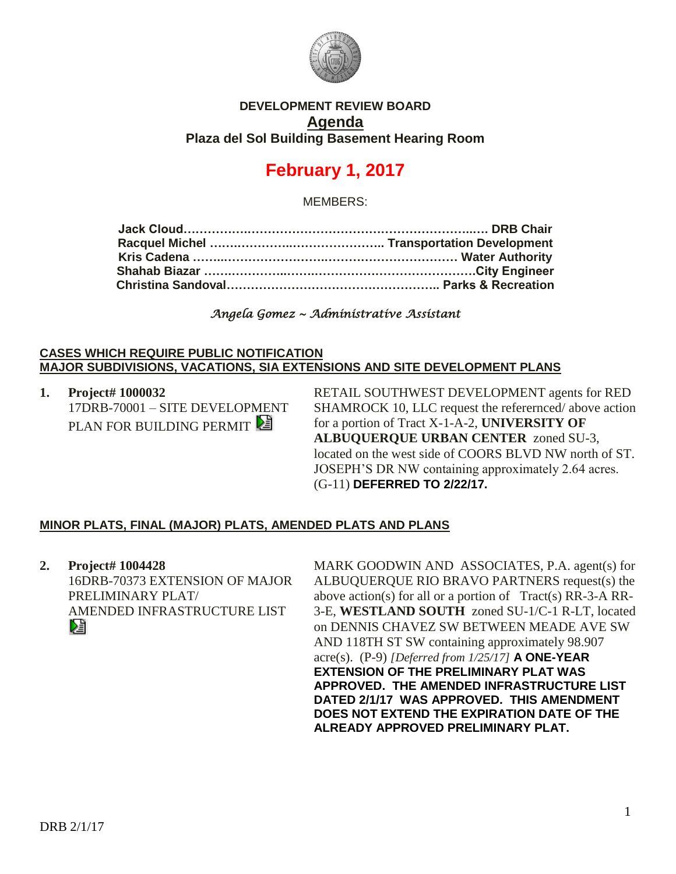

### **DEVELOPMENT REVIEW BOARD Agenda Plaza del Sol Building Basement Hearing Room**

# **February 1, 2017**

MEMBERS:

*Angela Gomez ~ Administrative Assistant* 

#### **CASES WHICH REQUIRE PUBLIC NOTIFICATION MAJOR SUBDIVISIONS, VACATIONS, SIA EXTENSIONS AND SITE DEVELOPMENT PLANS**

**1. Project# 1000032** 17DRB-70001 – SITE DEVELOPMENT PLAN FOR BUILDING PERMIT

RETAIL SOUTHWEST DEVELOPMENT agents for RED SHAMROCK 10, LLC request the referernced/ above action for a portion of Tract X-1-A-2, **UNIVERSITY OF ALBUQUERQUE URBAN CENTER** zoned SU-3, located on the west side of COORS BLVD NW north of ST. JOSEPH'S DR NW containing approximately 2.64 acres. (G-11) **DEFERRED TO 2/22/17.**

# **MINOR PLATS, FINAL (MAJOR) PLATS, AMENDED PLATS AND PLANS**

**2. Project# 1004428** 16DRB-70373 EXTENSION OF MAJOR PRELIMINARY PLAT/ AMENDED INFRASTRUCTURE LIST

MARK GOODWIN AND ASSOCIATES, P.A. agent(s) for ALBUQUERQUE RIO BRAVO PARTNERS request(s) the above action(s) for all or a portion of Tract(s) RR-3-A RR-3-E, **WESTLAND SOUTH** zoned SU-1/C-1 R-LT, located on DENNIS CHAVEZ SW BETWEEN MEADE AVE SW AND 118TH ST SW containing approximately 98.907 acre(s). (P-9) *[Deferred from 1/25/17]* **A ONE-YEAR EXTENSION OF THE PRELIMINARY PLAT WAS APPROVED. THE AMENDED INFRASTRUCTURE LIST DATED 2/1/17 WAS APPROVED. THIS AMENDMENT DOES NOT EXTEND THE EXPIRATION DATE OF THE ALREADY APPROVED PRELIMINARY PLAT.**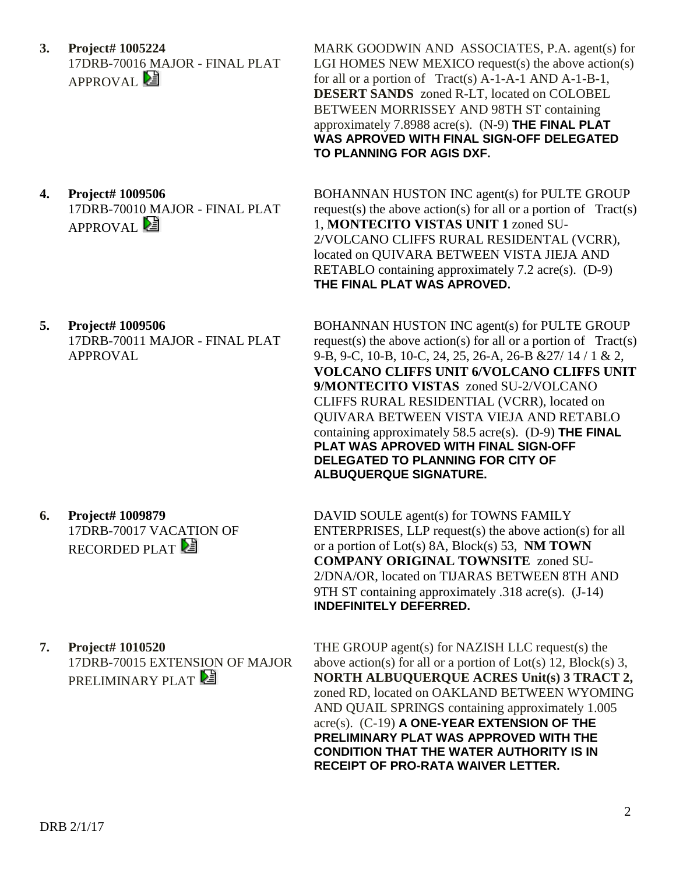**3. Project# 1005224** 17DRB-70016 MAJOR - FINAL PLAT APPROVAL<sup>E</sup>

**4. Project# 1009506** 17DRB-70010 MAJOR - FINAL PLAT APPROVAL<sup>[2]</sup>

MARK GOODWIN AND ASSOCIATES, P.A. agent(s) for LGI HOMES NEW MEXICO request(s) the above action(s) for all or a portion of Tract(s) A-1-A-1 AND A-1-B-1, **DESERT SANDS** zoned R-LT, located on COLOBEL BETWEEN MORRISSEY AND 98TH ST containing approximately 7.8988 acre(s). (N-9) **THE FINAL PLAT WAS APROVED WITH FINAL SIGN-OFF DELEGATED TO PLANNING FOR AGIS DXF.**

BOHANNAN HUSTON INC agent(s) for PULTE GROUP request(s) the above action(s) for all or a portion of  $Tract(s)$ 1, **MONTECITO VISTAS UNIT 1** zoned SU-2/VOLCANO CLIFFS RURAL RESIDENTAL (VCRR), located on QUIVARA BETWEEN VISTA JIEJA AND RETABLO containing approximately 7.2 acre(s). (D-9) **THE FINAL PLAT WAS APROVED.**

**5. Project# 1009506** 17DRB-70011 MAJOR - FINAL PLAT APPROVAL

BOHANNAN HUSTON INC agent(s) for PULTE GROUP request(s) the above action(s) for all or a portion of  $Tract(s)$ 9-B, 9-C, 10-B, 10-C, 24, 25, 26-A, 26-B &27/ 14 / 1 & 2, **VOLCANO CLIFFS UNIT 6/VOLCANO CLIFFS UNIT 9/MONTECITO VISTAS** zoned SU-2/VOLCANO CLIFFS RURAL RESIDENTIAL (VCRR), located on QUIVARA BETWEEN VISTA VIEJA AND RETABLO containing approximately 58.5 acre(s). (D-9) **THE FINAL PLAT WAS APROVED WITH FINAL SIGN-OFF DELEGATED TO PLANNING FOR CITY OF ALBUQUERQUE SIGNATURE.**

**6. Project# 1009879** 17DRB-70017 VACATION OF RECORDED PLAT

DAVID SOULE agent(s) for TOWNS FAMILY ENTERPRISES, LLP request(s) the above action(s) for all or a portion of Lot(s) 8A, Block(s) 53, **NM TOWN COMPANY ORIGINAL TOWNSITE** zoned SU-2/DNA/OR, located on TIJARAS BETWEEN 8TH AND 9TH ST containing approximately .318 acre(s). (J-14) **INDEFINITELY DEFERRED.**

**7. Project# 1010520** 17DRB-70015 EXTENSION OF MAJOR PRELIMINARY PLAT

THE GROUP agent(s) for NAZISH LLC request(s) the above action(s) for all or a portion of Lot(s) 12, Block(s) 3, **NORTH ALBUQUERQUE ACRES Unit(s) 3 TRACT 2,** zoned RD, located on OAKLAND BETWEEN WYOMING AND QUAIL SPRINGS containing approximately 1.005 acre(s). (C-19) **A ONE-YEAR EXTENSION OF THE PRELIMINARY PLAT WAS APPROVED WITH THE CONDITION THAT THE WATER AUTHORITY IS IN RECEIPT OF PRO-RATA WAIVER LETTER.**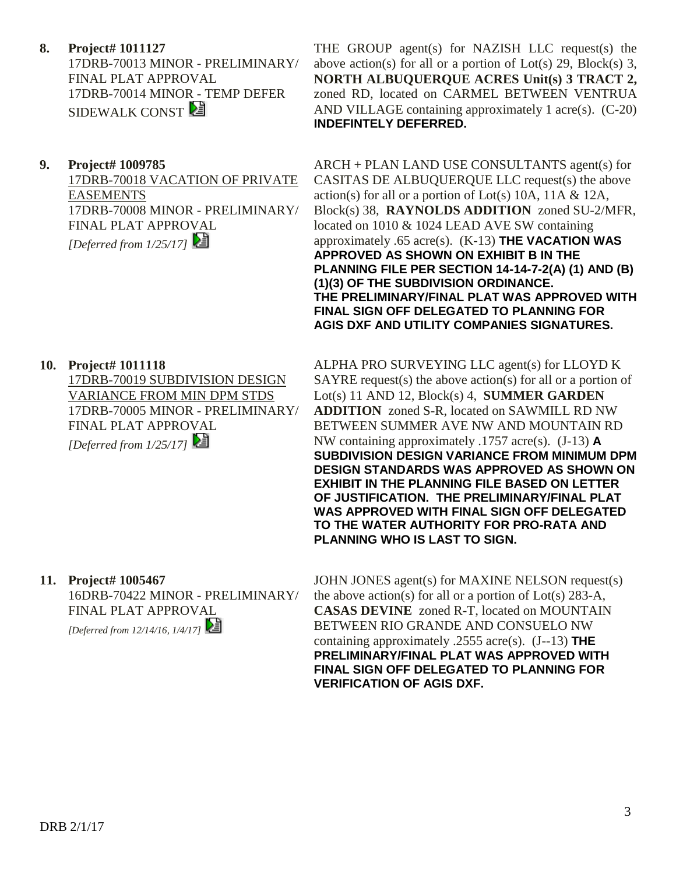**8. Project# 1011127** 17DRB-70013 MINOR - PRELIMINARY/ FINAL PLAT APPROVAL 17DRB-70014 MINOR - TEMP DEFER SIDEWALK CONST

### **9. Project# 1009785**

17DRB-70018 VACATION OF PRIVATE EASEMENTS 17DRB-70008 MINOR - PRELIMINARY/ FINAL PLAT APPROVAL *[Deferred from 1/25/17]* 

THE GROUP agent(s) for NAZISH LLC request(s) the above action(s) for all or a portion of Lot(s) 29, Block(s) 3, **NORTH ALBUQUERQUE ACRES Unit(s) 3 TRACT 2,** zoned RD, located on CARMEL BETWEEN VENTRUA AND VILLAGE containing approximately 1 acre(s). (C-20) **INDEFINTELY DEFERRED.**

ARCH + PLAN LAND USE CONSULTANTS agent(s) for CASITAS DE ALBUQUERQUE LLC request(s) the above action(s) for all or a portion of Lot(s) 10A, 11A & 12A, Block(s) 38, **RAYNOLDS ADDITION** zoned SU-2/MFR, located on 1010 & 1024 LEAD AVE SW containing approximately .65 acre(s). (K-13) **THE VACATION WAS APPROVED AS SHOWN ON EXHIBIT B IN THE PLANNING FILE PER SECTION 14-14-7-2(A) (1) AND (B) (1)(3) OF THE SUBDIVISION ORDINANCE. THE PRELIMINARY/FINAL PLAT WAS APPROVED WITH FINAL SIGN OFF DELEGATED TO PLANNING FOR AGIS DXF AND UTILITY COMPANIES SIGNATURES.**

# **10. Project# 1011118**

17DRB-70019 SUBDIVISION DESIGN VARIANCE FROM MIN DPM STDS 17DRB-70005 MINOR - PRELIMINARY/ FINAL PLAT APPROVAL *[Deferred from 1/25/17]* 

ALPHA PRO SURVEYING LLC agent(s) for LLOYD K  $SAYRE$  request(s) the above action(s) for all or a portion of Lot(s) 11 AND 12, Block(s) 4, **SUMMER GARDEN ADDITION** zoned S-R, located on SAWMILL RD NW BETWEEN SUMMER AVE NW AND MOUNTAIN RD NW containing approximately .1757 acre(s). (J-13) **A SUBDIVISION DESIGN VARIANCE FROM MINIMUM DPM DESIGN STANDARDS WAS APPROVED AS SHOWN ON EXHIBIT IN THE PLANNING FILE BASED ON LETTER OF JUSTIFICATION. THE PRELIMINARY/FINAL PLAT WAS APPROVED WITH FINAL SIGN OFF DELEGATED TO THE WATER AUTHORITY FOR PRO-RATA AND PLANNING WHO IS LAST TO SIGN.**

# **11. Project# 1005467** 16DRB-70422 MINOR - PRELIMINARY/

FINAL PLAT APPROVAL

*[Deferred from 12/14/16, 1/4/17]* 

JOHN JONES agent(s) for MAXINE NELSON request(s) the above action(s) for all or a portion of Lot(s) 283-A, **CASAS DEVINE** zoned R-T, located on MOUNTAIN BETWEEN RIO GRANDE AND CONSUELO NW containing approximately .2555 acre(s). (J--13) **THE PRELIMINARY/FINAL PLAT WAS APPROVED WITH FINAL SIGN OFF DELEGATED TO PLANNING FOR VERIFICATION OF AGIS DXF.**